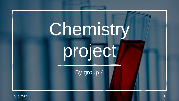# Chemistry project

By group 4

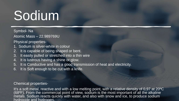### Sodium

Symbol- Na

Atomic Mass – 22.989769U

Physical properties-

- 1. Sodium is silver-white in colour
- 2. It is capable of being shaped or bent.
- 3. It easily pulled or stretched into a thin wire
- 4. It is lustrous having a shine or glow.
- 5. It is Conductive and has a good transmission of heat and electricity.
- 6. It is Soft enough to be cut with a knife.

#### Chemical properties-

It's a soft metal, reactive and with a low melting point, with a relative density of 0,97 at 20ºC (68ºF). From the commercial point of view, sodium is the most important of all the alkaline metals. Sodium reacts quickly with water, and also with snow and ice, to produce sodium hydroxide and hydrogen.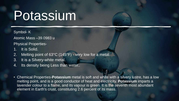### Potassium

Symbol- K Atomic Mass –39.0983 u

Physical Properties-

- 1. It is Solid.
- 2. Melting point of 63°C (145°F) very low for a metal.
- 3. It is a Silvery-white metal.
- 4. Its density being Less than water..

• Chemical Properties-**Potassium** metal is soft and white with a silvery lustre, has a low melting point, and is a good conductor of heat and electricity. **Potassium** imparts a lavender colour to a flame, and its vapour is green. It is the seventh most abundant element in Earth's crust, constituting 2.6 percent of its mass.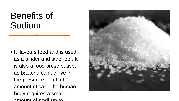#### Benefits of Sodium

• It flavours food and is used as a binder and stabilizer. It is also a food preservative, as bacteria can't thrive in the presence of a high amount of salt. The human body requires a small amount of **sodium** to

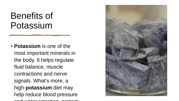#### Benefits of Potassium

• **Potassium** is one of the most important minerals in the body. It helps regulate fluid balance, muscle contractions and nerve signals. What's more, a high-**potassium** diet may help reduce blood pressure and water retention, protect

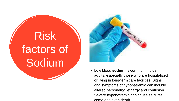# Risk factors of Sodium



• Low blood **sodium** is common in older adults, especially those who are hospitalized or living in long-term care facilities. Signs and symptoms of hyponatremia can include altered personality, lethargy and confusion. Severe hyponatremia can cause seizures, coma and even death.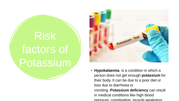## Risk factors of Potassium



• **Hypokalaemia**, is a condition in which a person does not get enough **potassium** for their body. It can be due to a poor diet or loss due to diarrhoea or vomiting. **Potassium deficiency** can result in medical conditions like high blood pressure, constipation, muscle weakness,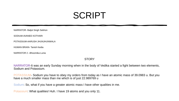#### SCRIPT

NARRATOR- Baljot Singh Sekhon

SODIUM-AVANEE KOTHARI

POTASSIUM-AARUSH JHUNJHUNWALA

HUMAN BRAIN- Tanish Kedia

NARRATOR 2 –Bhoomika Lunia

#### **STORY**

NARRATOR-It was an early Sunday morning when in the body of Vedika started a fight between two elements, Sodium and Potassium.

POTASSIUM- Sodium you have to obey my orders from today as I have an atomic mass of 39.0983 u. But you have a much smaller mass than me which is of just 22.989769 u

Sodium: So, what if you have a greater atomic mass I have other qualities in me.

Potassium: What qualities! Huh. I have 19 atoms and you only 11.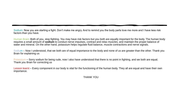Sodium: Now you are starting a fight. Don't make me angry. And to remind you the body parts love me more and I have less risk factors than you have.

Human Brain: Both of you, stop fighting. You may have risk factors but you both are equally important for the body. The human body requires a small amount of **sodium** to conduct nerve impulses, contract and relax muscles, and maintain the proper balance of water and mineral. On the other hand, potassium helps regulate fluid balance, muscle contractions and nerve signals.

Sodium – Now I understood, that we both are of equal importance to the body and none of us are greater than the other. Thank you Brain for explaining us

Potassium – Sorry sodium for being rude, now I also have understood that there is no point in fighting, and we both are equal. Thank you Brain for correcting us

Lesson learnt – Every component in our body is vital for the functioning of the human body. They all are equal and have their own importance.

THANK YOU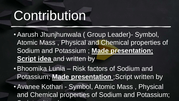### **Contribution**

•Aarush Jhunjhunwala ( Group Leader)- Symbol, Atomic Mass , Physical and Chemical properties of Sodium and Potassium ; **Made presentation; Script idea** and written by

•Bhoomika Lunia – Risk factors of Sodium and Potassium; **Made presentation** ;Script written by

•Avanee Kothari - Symbol, Atomic Mass , Physical and Chemical properties of Sodium and Potassium; Script with the secretary of the secretary of the secretary of the secretary of the secretary of the secretary